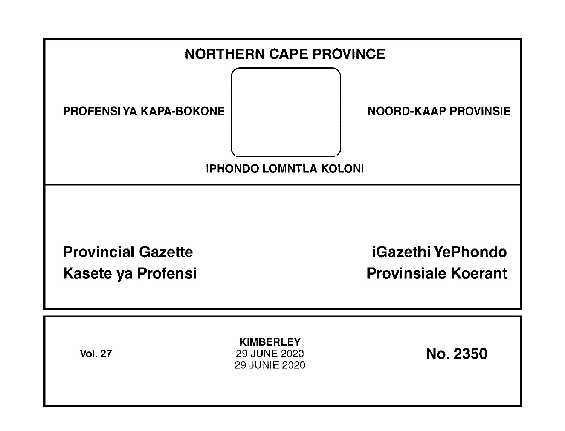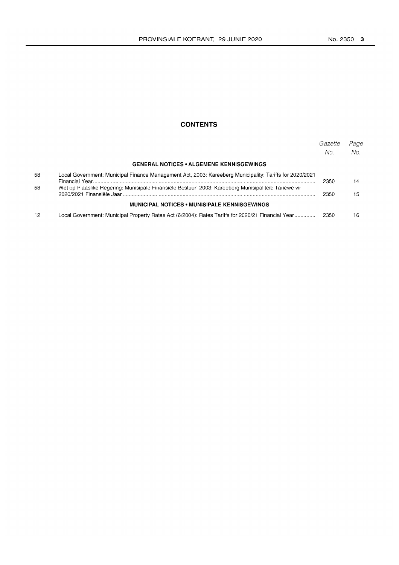### **CONTENTS**

|    |                                                                                                         | Gazette<br>No. | Page<br>No. |
|----|---------------------------------------------------------------------------------------------------------|----------------|-------------|
|    | <b>GENERAL NOTICES • ALGEMENE KENNISGEWINGS</b>                                                         |                |             |
| 58 | Local Government: Municipal Finance Management Act, 2003: Kareeberg Municipality: Tariffs for 2020/2021 | 2350           | 14          |
| 58 | Wet op Plaaslike Regering: Munisipale Finansiële Bestuur, 2003: Kareeberg Munisipaliteit: Tariewe vir   | 2350           | 15          |
|    | <b>MUNICIPAL NOTICES • MUNISIPALE KENNISGEWINGS</b>                                                     |                |             |
| 12 | Local Government: Municipal Property Rates Act (6/2004): Rates Tariffs for 2020/21 Financial Year       | 2350           | 16          |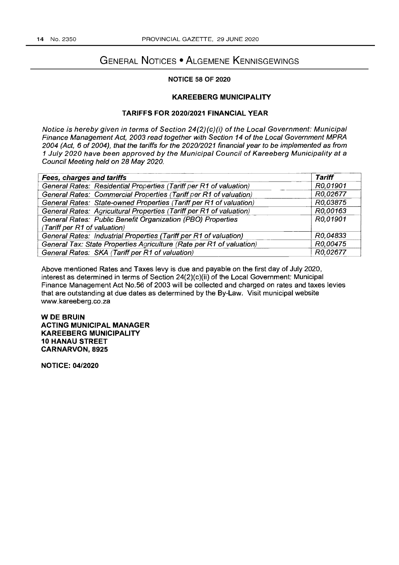## GENERAL NOTICES • ALGEMENE KENNISGEWINGS

#### NOTICE 58 OF 2020

### KAREEBERG MUNICIPALITY

#### TARIFFS FOR *2020/2021* FINANCIAL YEAR

Notice is hereby given in terms of Section 24(2)(c)(i) of the Local Government: Municipal Finance Management Act, 2003 read together with Section 14 of the Local Government MPRA 2004 (Act, 6 of 2004), that the tariffs for the 2020/2021 financial year to be implemented as from 1 July 2020 have been approved by the Municipal Council of Kareeberg Municipality at a Council Meeting held on 28 May 2020.

| Council Meeting held on 28 May 2020.                                 |               |  |  |  |
|----------------------------------------------------------------------|---------------|--|--|--|
| <b>Fees, charges and tariffs</b>                                     | <b>Tariff</b> |  |  |  |
| General Rates: Residential Properties (Tariff per R1 of valuation)   | R0,01901      |  |  |  |
| General Rates: Commercial Properties (Tariff per R1 of valuation)    | R0,02677      |  |  |  |
| General Rates: State-owned Properties (Tariff per R1 of valuation)   | R0,03875      |  |  |  |
| General Rates: Agricultural Properties (Tariff per R1 of valuation)  | R0.00163      |  |  |  |
| General Rates: Public Benefit Organization (PBO) Properties          | R0.01901      |  |  |  |
| (Tariff per R1 of valuation)                                         |               |  |  |  |
| General Rates: Industrial Properties (Tariff per R1 of valuation)    | R0,04833      |  |  |  |
| General Tax: State Properties Agriculture (Rate per R1 of valuation) | R0,00475      |  |  |  |
| General Rates: SKA (Tariff per R1 of valuation)                      | R0,02677      |  |  |  |

Above mentioned Rates and Taxes levy is due and payable on the first day of July 2020, interest as determined in terms of Section 24(2)(c)(ii) of the Local Government: Municipal Finance Management Act NO.56 of 2003 will be collected and charged on rates and taxes levies that are outstanding at due dates as determined by the By-Law. Visit municipal website www.kareeberg.co.za

WOE BRUIN ACTING MUNICIPAL MANAGER KAREEBERG MUNICIPALITY 10 HANAU STREET CARNARVON, 8925

NOTICE: *04/2020*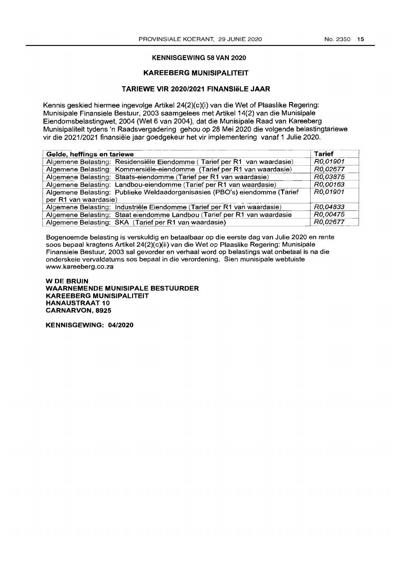#### KENNISGEWING 58 VAN 2020

#### KAREEBERG MUNISIPALITEIT

#### TARIEWE VIR *2020/2021* FINANSleLE JAAR

Kennis geskied hiermee ingevolge Artikel 24(2)(c)(i) van die Wet of Plaaslike Regering: Munisipale Finansiele Bestuur, 2003 saamgelees met Artikel 14(2) van die Munisipale Eiendomsbelastingwet, 2004 (Wet 6 van 2004), dat die Munisipale Raad van Kareeberg Munisipaliteit tydens 'n Raadsvergadering gehou op 28 Mei 2020 die volgende belastingtariewe

| Gelde, heffings en tariewe                                                 | <b>Tarief</b> |
|----------------------------------------------------------------------------|---------------|
| Algemene Belasting: Residensiële Eiendomme (Tarief per R1 van waardasie)   | R0,01901      |
| Algemene Belasting: Kommersiële-eiendomme (Tarief per R1 van waardasie)    | R0,02677      |
| Algemene Belasting: Staats-eiendomme (Tarief per R1 van waardasie)         | R0,03875      |
| Algemene Belasting: Landbou-eiendomme (Tarief per R1 van waardasie)        | R0.00163      |
| Algemene Belasting: Publieke Weldaadorganisasies (PBO's) eiendomme (Tarief | R0,01901      |
| per R1 van waardasie)                                                      |               |
| Algemene Belasting: Industriële Eiendomme (Tarief per R1 van waardasie)    | R0,04833      |
| Algemene Belasting: Staat eiendomme Landbou (Tarief per R1 van waardasie   | R0,00475      |
| Algemene Belasting: SKA (Tarief per R1 van waardasie)                      | R0,02677      |

Bogenoemde belasting is verskuldig en betaalbaar op die eerste dag van Julie 2020 en rente soos bepaal kragtens Artikel 24(2)(c)(ii) van die Wet op Plaaslike Regering: Munisipale Finansiele Bestuur, 2003 sal gevorder en verhaal word op belastings wat onbetaal is na die onderskeie vervaldatums sos bepaal in die verordening. Sien munisipale webtuiste www.kareeberg.co.za

WOE BRUIN WAARNEMENOE MUNISIPAlE BESTUUROER KAREEBERG MUNISIPAlITEIT **HANAUSTRAAT 10** CARNARVON,8925

KENNISGEWING: *04/2020*